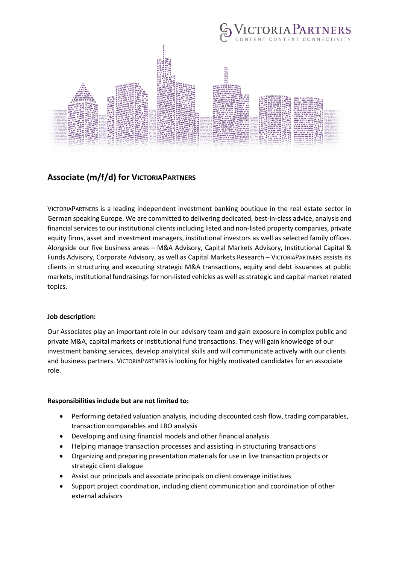

# **Associate (m/f/d) for VICTORIAPARTNERS**

VICTORIAPARTNERS is a leading independent investment banking boutique in the real estate sector in German speaking Europe. We are committed to delivering dedicated, best-in-class advice, analysis and financial services to our institutional clients including listed and non-listed property companies, private equity firms, asset and investment managers, institutional investors as well as selected family offices. Alongside our five business areas – M&A Advisory, Capital Markets Advisory, Institutional Capital & Funds Advisory, Corporate Advisory, as well as Capital Markets Research – VICTORIAPARTNERS assists its clients in structuring and executing strategic M&A transactions, equity and debt issuances at public markets, institutional fundraisings for non-listed vehicles as well as strategic and capital market related topics.

## **Job description:**

Our Associates play an important role in our advisory team and gain exposure in complex public and private M&A, capital markets or institutional fund transactions. They will gain knowledge of our investment banking services, develop analytical skills and will communicate actively with our clients and business partners. VICTORIAPARTNERS is looking for highly motivated candidates for an associate role.

#### **Responsibilities include but are not limited to:**

- Performing detailed valuation analysis, including discounted cash flow, trading comparables, transaction comparables and LBO analysis
- Developing and using financial models and other financial analysis
- Helping manage transaction processes and assisting in structuring transactions
- Organizing and preparing presentation materials for use in live transaction projects or strategic client dialogue
- Assist our principals and associate principals on client coverage initiatives
- Support project coordination, including client communication and coordination of other external advisors